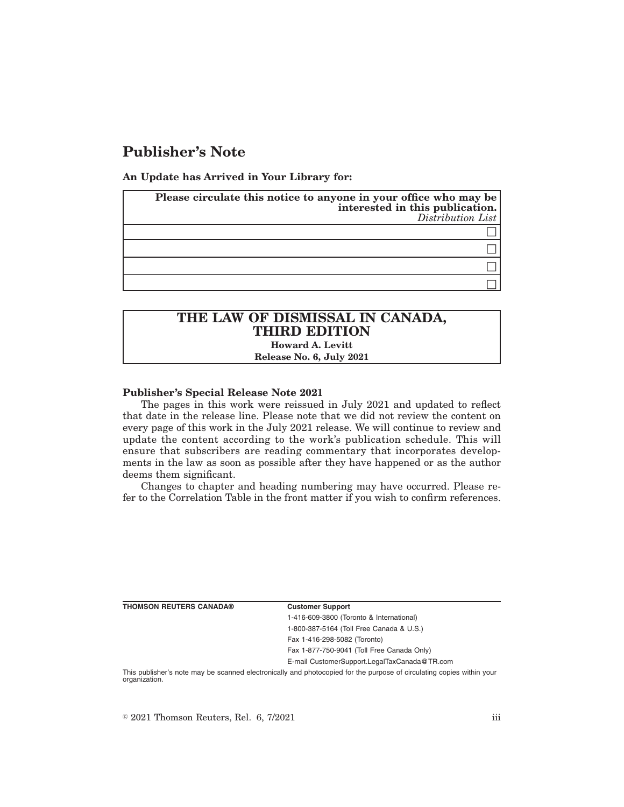# **Publisher's Note**

**An Update has Arrived in Your Library for:**

| Please circulate this notice to anyone in your office who may be<br>interested in this publication.<br>Distribution List |
|--------------------------------------------------------------------------------------------------------------------------|
|                                                                                                                          |
|                                                                                                                          |
|                                                                                                                          |
|                                                                                                                          |

## **THE LAW OF DISMISSAL IN CANADA, THIRD EDITION Howard A. Levitt**

**Release No. 6, July 2021**

### **Publisher's Special Release Note 2021**

The pages in this work were reissued in July 2021 and updated to reflect that date in the release line. Please note that we did not review the content on every page of this work in the July 2021 release. We will continue to review and update the content according to the work's publication schedule. This will ensure that subscribers are reading commentary that incorporates developments in the law as soon as possible after they have happened or as the author deems them significant.

Changes to chapter and heading numbering may have occurred. Please refer to the Correlation Table in the front matter if you wish to confirm references.

| <b>THOMSON REUTERS CANADA®</b> | <b>Customer Support</b> |
|--------------------------------|-------------------------|
|                                | 1-416-609-3800 (Toror   |
|                                | 1-800-387-5164 (Toll F  |
|                                |                         |

nto & International) Free Canada & U.S.) Fax 1-416-298-5082 (Toronto) Fax 1-877-750-9041 (Toll Free Canada Only) E-mail CustomerSupport.LegalTaxCanada@TR.com

This publisher's note may be scanned electronically and photocopied for the purpose of circulating copies within your organization.

 $\degree$  2021 Thomson Reuters, Rel. 6, 7/2021 iii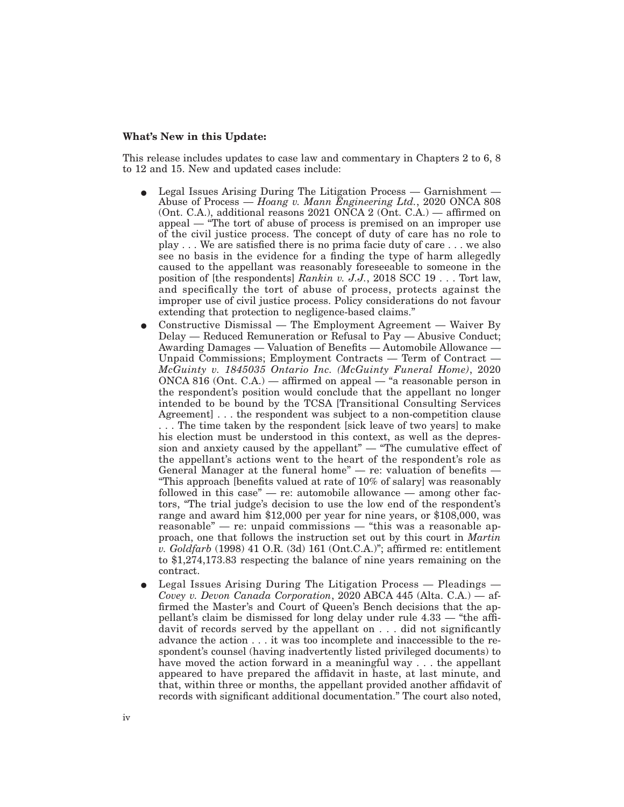#### **What's New in this Update:**

This release includes updates to case law and commentary in Chapters 2 to 6, 8 to 12 and 15. New and updated cases include:

- E Legal Issues Arising During The Litigation Process Garnishment Abuse of Process — *Hoang v. Mann Engineering Ltd.*, 2020 ONCA 808 (Ont. C.A.), additional reasons 2021 ONCA 2 (Ont. C.A.) — affirmed on appeal — "The tort of abuse of process is premised on an improper use of the civil justice process. The concept of duty of care has no role to play . . . We are satisfied there is no prima facie duty of care . . . we also see no basis in the evidence for a finding the type of harm allegedly caused to the appellant was reasonably foreseeable to someone in the position of [the respondents] *Rankin v. J.J.*, 2018 SCC 19 . . . Tort law, and specifically the tort of abuse of process, protects against the improper use of civil justice process. Policy considerations do not favour extending that protection to negligence-based claims."
- E Constructive Dismissal The Employment Agreement Waiver By Delay — Reduced Remuneration or Refusal to Pay — Abusive Conduct; Awarding Damages — Valuation of Benefits — Automobile Allowance — Unpaid Commissions; Employment Contracts — Term of Contract — *McGuinty v. 1845035 Ontario Inc. (McGuinty Funeral Home)*, 2020 ONCA 816 (Ont. C.A.) — affirmed on appeal — "a reasonable person in the respondent's position would conclude that the appellant no longer intended to be bound by the TCSA [Transitional Consulting Services Agreement] . . . the respondent was subject to a non-competition clause . . . The time taken by the respondent [sick leave of two years] to make his election must be understood in this context, as well as the depression and anxiety caused by the appellant" — "The cumulative effect of the appellant's actions went to the heart of the respondent's role as General Manager at the funeral home" — re: valuation of benefits — "This approach [benefits valued at rate of 10% of salary] was reasonably followed in this case" — re: automobile allowance — among other factors, "The trial judge's decision to use the low end of the respondent's range and award him \$12,000 per year for nine years, or \$108,000, was reasonable" — re: unpaid commissions — "this was a reasonable approach, one that follows the instruction set out by this court in *Martin v. Goldfarb* (1998) 41 O.R. (3d) 161 (Ont.C.A.)"; affirmed re: entitlement to \$1,274,173.83 respecting the balance of nine years remaining on the contract.
- E Legal Issues Arising During The Litigation Process Pleadings *Covey v. Devon Canada Corporation*, 2020 ABCA 445 (Alta. C.A.) — affirmed the Master's and Court of Queen's Bench decisions that the appellant's claim be dismissed for long delay under rule 4.33 — "the affidavit of records served by the appellant on . . . did not significantly advance the action . . . it was too incomplete and inaccessible to the respondent's counsel (having inadvertently listed privileged documents) to have moved the action forward in a meaningful way . . . the appellant appeared to have prepared the affidavit in haste, at last minute, and that, within three or months, the appellant provided another affidavit of records with significant additional documentation." The court also noted,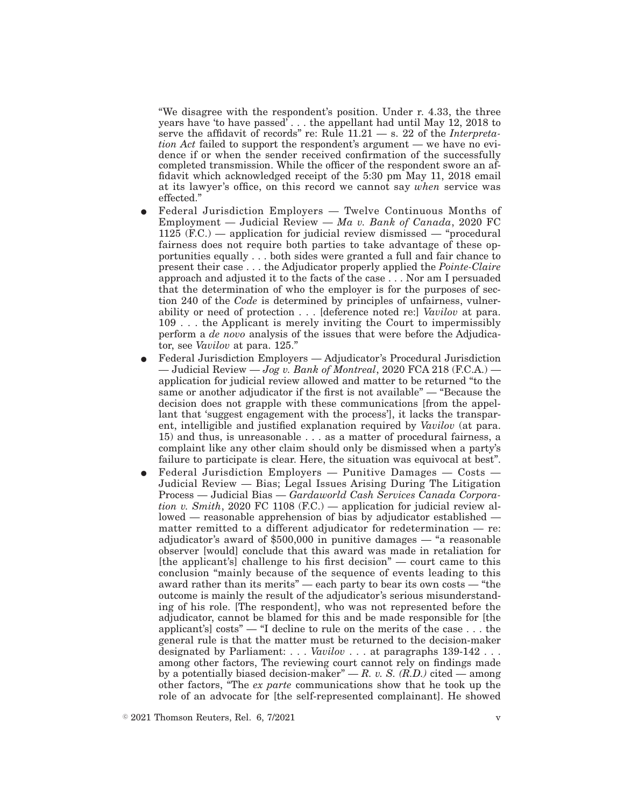"We disagree with the respondent's position. Under r. 4.33, the three years have 'to have passed' . . . the appellant had until May 12, 2018 to serve the affidavit of records'' re: Rule 11.21 — s. 22 of the *Interpretation Act* failed to support the respondent's argument — we have no evidence if or when the sender received confirmation of the successfully completed transmission. While the officer of the respondent swore an affidavit which acknowledged receipt of the 5:30 pm May 11, 2018 email at its lawyer's office, on this record we cannot say *when* service was effected."

- E Federal Jurisdiction Employers Twelve Continuous Months of Employment — Judicial Review — *Ma v. Bank of Canada*, 2020 FC  $1125$  (F.C.) — application for judicial review dismissed — "procedural" fairness does not require both parties to take advantage of these opportunities equally . . . both sides were granted a full and fair chance to present their case . . . the Adjudicator properly applied the *Pointe-Claire* approach and adjusted it to the facts of the case . . . Nor am I persuaded that the determination of who the employer is for the purposes of section 240 of the *Code* is determined by principles of unfairness, vulnerability or need of protection . . . [deference noted re:] *Vavilov* at para. 109 . . . the Applicant is merely inviting the Court to impermissibly perform a *de novo* analysis of the issues that were before the Adjudicator, see *Vavilov* at para. 125."
- E Federal Jurisdiction Employers Adjudicator's Procedural Jurisdiction — Judicial Review — *Jog v. Bank of Montreal*, 2020 FCA 218 (F.C.A.) application for judicial review allowed and matter to be returned "to the same or another adjudicator if the first is not available" — "Because the decision does not grapple with these communications [from the appellant that 'suggest engagement with the process'], it lacks the transparent, intelligible and justified explanation required by *Vavilov* (at para. 15) and thus, is unreasonable . . . as a matter of procedural fairness, a complaint like any other claim should only be dismissed when a party's failure to participate is clear. Here, the situation was equivocal at best".
- E Federal Jurisdiction Employers Punitive Damages Costs Judicial Review — Bias; Legal Issues Arising During The Litigation Process — Judicial Bias — *Gardaworld Cash Services Canada Corporation v. Smith*, 2020 FC 1108 (F.C.) — application for judicial review allowed — reasonable apprehension of bias by adjudicator established matter remitted to a different adjudicator for redetermination — re: adjudicator's award of \$500,000 in punitive damages — "a reasonable observer [would] conclude that this award was made in retaliation for [the applicant's] challenge to his first decision" — court came to this conclusion "mainly because of the sequence of events leading to this award rather than its merits" — each party to bear its own costs — "the outcome is mainly the result of the adjudicator's serious misunderstanding of his role. [The respondent], who was not represented before the adjudicator, cannot be blamed for this and be made responsible for [the applicant's] costs" — "I decline to rule on the merits of the case . . . the general rule is that the matter must be returned to the decision-maker designated by Parliament:... *Vavilov* . . . at paragraphs 139-142 . . . among other factors, The reviewing court cannot rely on findings made by a potentially biased decision-maker<sup>"</sup> —  $R$ . v. S.  $(R.D.)$  cited — among other factors, "The *ex parte* communications show that he took up the role of an advocate for [the self-represented complainant]. He showed

 $\degree$  2021 Thomson Reuters, Rel. 6, 7/2021 v